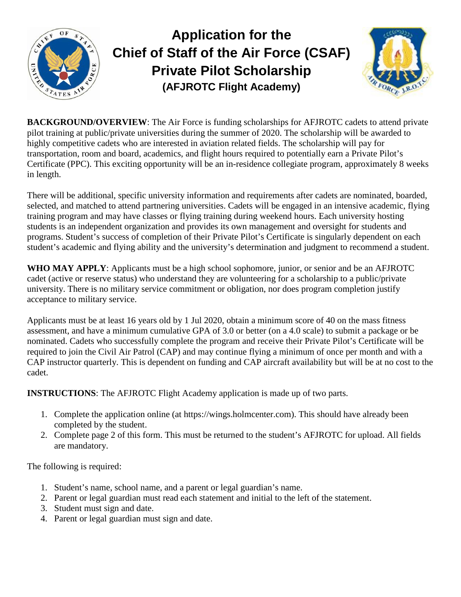

## **Application for the Chief of Staff of the Air Force (CSAF) Private Pilot Scholarship (AFJROTC Flight Academy)**



**BACKGROUND/OVERVIEW:** The Air Force is funding scholarships for AFJROTC cadets to attend private pilot training at public/private universities during the summer of 2020. The scholarship will be awarded to highly competitive cadets who are interested in aviation related fields. The scholarship will pay for transportation, room and board, academics, and flight hours required to potentially earn a Private Pilot's Certificate (PPC). This exciting opportunity will be an in-residence collegiate program, approximately 8 weeks in length.

There will be additional, specific university information and requirements after cadets are nominated, boarded, selected, and matched to attend partnering universities. Cadets will be engaged in an intensive academic, flying training program and may have classes or flying training during weekend hours. Each university hosting students is an independent organization and provides its own management and oversight for students and programs. Student's success of completion of their Private Pilot's Certificate is singularly dependent on each student's academic and flying ability and the university's determination and judgment to recommend a student.

**WHO MAY APPLY**: Applicants must be a high school sophomore, junior, or senior and be an AFJROTC cadet (active or reserve status) who understand they are volunteering for a scholarship to a public/private university. There is no military service commitment or obligation, nor does program completion justify acceptance to military service.

Applicants must be at least 16 years old by 1 Jul 2020, obtain a minimum score of 40 on the mass fitness assessment, and have a minimum cumulative GPA of 3.0 or better (on a 4.0 scale) to submit a package or be nominated. Cadets who successfully complete the program and receive their Private Pilot's Certificate will be required to join the Civil Air Patrol (CAP) and may continue flying a minimum of once per month and with a CAP instructor quarterly. This is dependent on funding and CAP aircraft availability but will be at no cost to the cadet.

**INSTRUCTIONS**: The AFJROTC Flight Academy application is made up of two parts.

- 1. Complete the application online (at [https://wings.holmcenter.com\)](https://wings.holmcenter.com/). This should have already been completed by the student.
- 2. Complete page 2 of this form. This must be returned to the student's AFJROTC for upload. All fields are mandatory.

The following is required:

- 1. Student's name, school name, and a parent or legal guardian's name.
- 2. Parent or legal guardian must read each statement and initial to the left of the statement.
- 3. Student must sign and date.
- 4. Parent or legal guardian must sign and date.